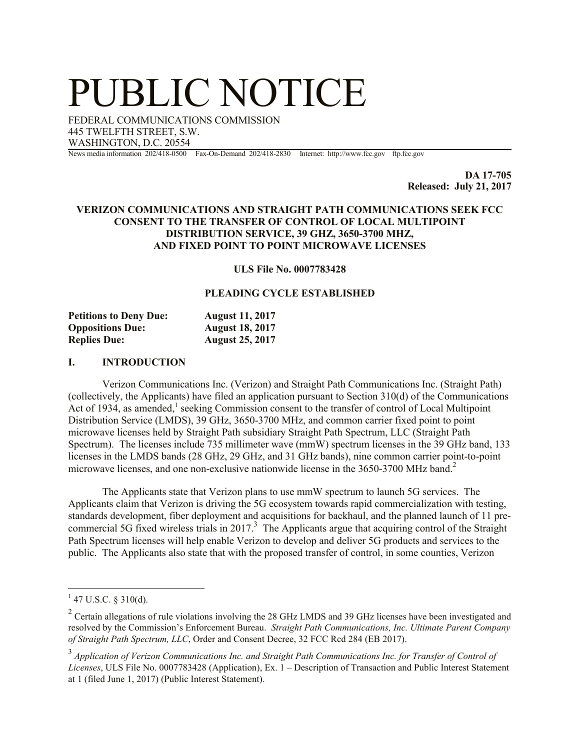# PUBLIC NOTICE

FEDERAL COMMUNICATIONS COMMISSION 445 TWELFTH STREET, S.W. WASHINGTON, D.C. 20554

News media information 202/418-0500 Fax-On-Demand 202/418-2830 Internet: http://www.fcc.gov ftp.fcc.gov

**DA 17-705 Released: July 21, 2017**

## **VERIZON COMMUNICATIONS AND STRAIGHT PATH COMMUNICATIONS SEEK FCC CONSENT TO THE TRANSFER OF CONTROL OF LOCAL MULTIPOINT DISTRIBUTION SERVICE, 39 GHZ, 3650-3700 MHZ, AND FIXED POINT TO POINT MICROWAVE LICENSES**

**ULS File No. 0007783428**

### **PLEADING CYCLE ESTABLISHED**

| <b>Petitions to Deny Due:</b> | <b>August 11, 2017</b> |
|-------------------------------|------------------------|
| <b>Oppositions Due:</b>       | <b>August 18, 2017</b> |
| <b>Replies Due:</b>           | <b>August 25, 2017</b> |

#### **I. INTRODUCTION**

Verizon Communications Inc. (Verizon) and Straight Path Communications Inc. (Straight Path) (collectively, the Applicants) have filed an application pursuant to Section 310(d) of the Communications Act of 1934, as amended,<sup>1</sup> seeking Commission consent to the transfer of control of Local Multipoint Distribution Service (LMDS), 39 GHz, 3650-3700 MHz, and common carrier fixed point to point microwave licenses held by Straight Path subsidiary Straight Path Spectrum, LLC (Straight Path Spectrum). The licenses include 735 millimeter wave (mmW) spectrum licenses in the 39 GHz band, 133 licenses in the LMDS bands (28 GHz, 29 GHz, and 31 GHz bands), nine common carrier point-to-point microwave licenses, and one non-exclusive nationwide license in the 3650-3700 MHz band.<sup>2</sup>

The Applicants state that Verizon plans to use mmW spectrum to launch 5G services. The Applicants claim that Verizon is driving the 5G ecosystem towards rapid commercialization with testing, standards development, fiber deployment and acquisitions for backhaul, and the planned launch of 11 precommercial 5G fixed wireless trials in 2017.<sup>3</sup> The Applicants argue that acquiring control of the Straight Path Spectrum licenses will help enable Verizon to develop and deliver 5G products and services to the public. The Applicants also state that with the proposed transfer of control, in some counties, Verizon

 $\overline{\phantom{a}}$ 

 $1$  47 U.S.C. § 310(d).

<sup>&</sup>lt;sup>2</sup> Certain allegations of rule violations involving the 28 GHz LMDS and 39 GHz licenses have been investigated and resolved by the Commission's Enforcement Bureau. *Straight Path Communications, Inc. Ultimate Parent Company of Straight Path Spectrum, LLC*, Order and Consent Decree, 32 FCC Rcd 284 (EB 2017).

<sup>&</sup>lt;sup>3</sup> Application of Verizon Communications Inc. and Straight Path Communications Inc. for Transfer of Control of *Licenses*, ULS File No. 0007783428 (Application), Ex. 1 – Description of Transaction and Public Interest Statement at 1 (filed June 1, 2017) (Public Interest Statement).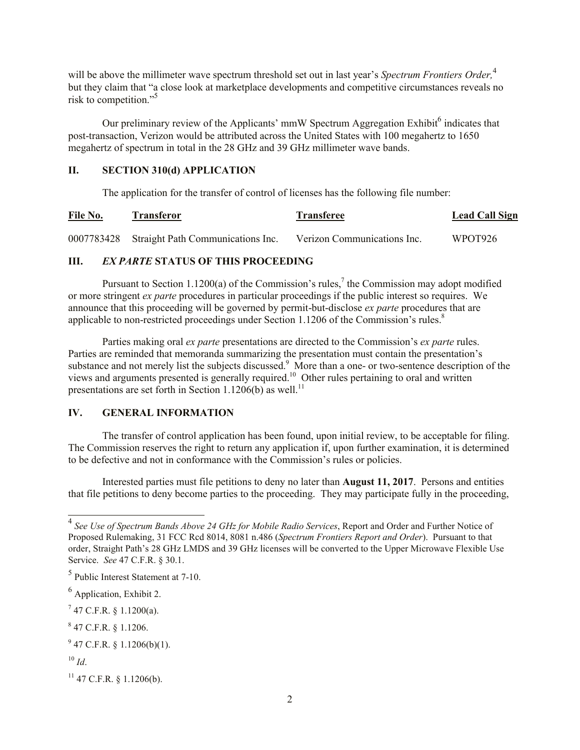will be above the millimeter wave spectrum threshold set out in last year's *Spectrum Frontiers Order*,<sup>4</sup> but they claim that "a close look at marketplace developments and competitive circumstances reveals no risk to competition." 5

Our preliminary review of the Applicants' mmW Spectrum Aggregation Exhibit<sup>6</sup> indicates that post-transaction, Verizon would be attributed across the United States with 100 megahertz to 1650 megahertz of spectrum in total in the 28 GHz and 39 GHz millimeter wave bands.

## **II. SECTION 310(d) APPLICATION**

The application for the transfer of control of licenses has the following file number:

| File No. | <b>Transferor</b> | <b>Transferee</b> | <b>Lead Call Sign</b> |
|----------|-------------------|-------------------|-----------------------|
|          |                   |                   |                       |

0007783428 Straight Path Communications Inc. Verizon Communications Inc. WPOT926

## **III.** *EX PARTE* **STATUS OF THIS PROCEEDING**

Pursuant to Section 1.1200(a) of the Commission's rules,<sup>7</sup> the Commission may adopt modified or more stringent *ex parte* procedures in particular proceedings if the public interest so requires. We announce that this proceeding will be governed by permit-but-disclose *ex parte* procedures that are applicable to non-restricted proceedings under Section 1.1206 of the Commission's rules.<sup>8</sup>

Parties making oral *ex parte* presentations are directed to the Commission's *ex parte* rules. Parties are reminded that memoranda summarizing the presentation must contain the presentation's substance and not merely list the subjects discussed.<sup>9</sup> More than a one- or two-sentence description of the views and arguments presented is generally required.<sup>10</sup> Other rules pertaining to oral and written presentations are set forth in Section 1.1206(b) as well.<sup>11</sup>

## **IV. GENERAL INFORMATION**

The transfer of control application has been found, upon initial review, to be acceptable for filing. The Commission reserves the right to return any application if, upon further examination, it is determined to be defective and not in conformance with the Commission's rules or policies.

Interested parties must file petitions to deny no later than **August 11, 2017**. Persons and entities that file petitions to deny become parties to the proceeding. They may participate fully in the proceeding,

 $7$  47 C.F.R. § 1.1200(a).

 $847$  C.F.R. § 1.1206.

 4 *See Use of Spectrum Bands Above 24 GHz for Mobile Radio Services*, Report and Order and Further Notice of Proposed Rulemaking, 31 FCC Rcd 8014, 8081 n.486 (*Spectrum Frontiers Report and Order*). Pursuant to that order, Straight Path's 28 GHz LMDS and 39 GHz licenses will be converted to the Upper Microwave Flexible Use Service. *See* 47 C.F.R. § 30.1.

<sup>5</sup> Public Interest Statement at 7-10.

 $<sup>6</sup>$  Application, Exhibit 2.</sup>

 $9^9$  47 C.F.R. § 1.1206(b)(1).

 $10 \,$ *Id*.

 $11$  47 C.F.R. § 1.1206(b).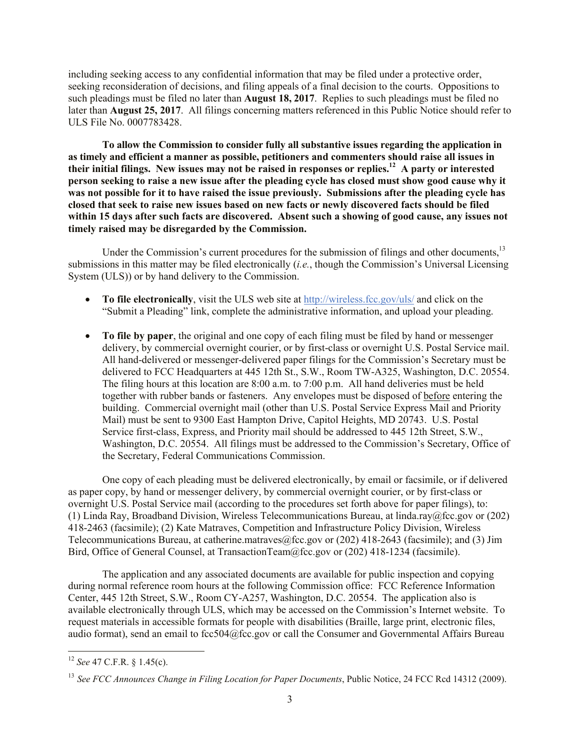including seeking access to any confidential information that may be filed under a protective order, seeking reconsideration of decisions, and filing appeals of a final decision to the courts. Oppositions to such pleadings must be filed no later than **August 18, 2017**. Replies to such pleadings must be filed no later than **August 25, 2017**. All filings concerning matters referenced in this Public Notice should refer to ULS File No. 0007783428.

**To allow the Commission to consider fully all substantive issues regarding the application in as timely and efficient a manner as possible, petitioners and commenters should raise all issues in their initial filings. New issues may not be raised in responses or replies.<sup>12</sup> A party or interested person seeking to raise a new issue after the pleading cycle has closed must show good cause why it was not possible for it to have raised the issue previously. Submissions after the pleading cycle has closed that seek to raise new issues based on new facts or newly discovered facts should be filed within 15 days after such facts are discovered. Absent such a showing of good cause, any issues not timely raised may be disregarded by the Commission.**

Under the Commission's current procedures for the submission of filings and other documents,<sup>13</sup> submissions in this matter may be filed electronically (*i.e.*, though the Commission's Universal Licensing System (ULS)) or by hand delivery to the Commission.

- **To file electronically**, visit the ULS web site at http://wireless.fcc.gov/uls/ and click on the "Submit a Pleading" link, complete the administrative information, and upload your pleading.
- **To file by paper**, the original and one copy of each filing must be filed by hand or messenger delivery, by commercial overnight courier, or by first-class or overnight U.S. Postal Service mail. All hand-delivered or messenger-delivered paper filings for the Commission's Secretary must be delivered to FCC Headquarters at 445 12th St., S.W., Room TW-A325, Washington, D.C. 20554. The filing hours at this location are 8:00 a.m. to 7:00 p.m. All hand deliveries must be held together with rubber bands or fasteners. Any envelopes must be disposed of before entering the building. Commercial overnight mail (other than U.S. Postal Service Express Mail and Priority Mail) must be sent to 9300 East Hampton Drive, Capitol Heights, MD 20743. U.S. Postal Service first-class, Express, and Priority mail should be addressed to 445 12th Street, S.W., Washington, D.C. 20554. All filings must be addressed to the Commission's Secretary, Office of the Secretary, Federal Communications Commission.

One copy of each pleading must be delivered electronically, by email or facsimile, or if delivered as paper copy, by hand or messenger delivery, by commercial overnight courier, or by first-class or overnight U.S. Postal Service mail (according to the procedures set forth above for paper filings), to: (1) Linda Ray, Broadband Division, Wireless Telecommunications Bureau, at linda.ray@fcc.gov or (202) 418-2463 (facsimile); (2) Kate Matraves, Competition and Infrastructure Policy Division, Wireless Telecommunications Bureau, at catherine.matraves@fcc.gov or (202) 418-2643 (facsimile); and (3) Jim Bird, Office of General Counsel, at TransactionTeam@fcc.gov or (202) 418-1234 (facsimile).

The application and any associated documents are available for public inspection and copying during normal reference room hours at the following Commission office: FCC Reference Information Center, 445 12th Street, S.W., Room CY-A257, Washington, D.C. 20554. The application also is available electronically through ULS, which may be accessed on the Commission's Internet website. To request materials in accessible formats for people with disabilities (Braille, large print, electronic files, audio format), send an email to fcc504@fcc.gov or call the Consumer and Governmental Affairs Bureau

 $\overline{\phantom{a}}$ 

<sup>12</sup> *See* 47 C.F.R. § 1.45(c).

<sup>13</sup> *See FCC Announces Change in Filing Location for Paper Documents*, Public Notice, 24 FCC Rcd 14312 (2009).